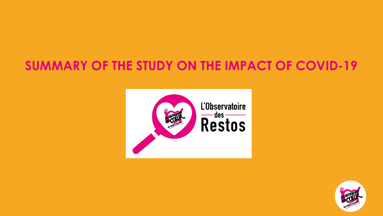# **SUMMARY OF THE STUDY ON THE IMPACT OF COVID-19**



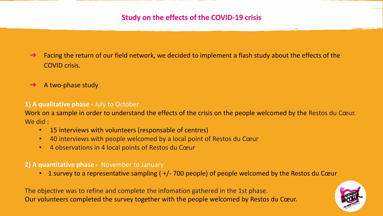- Facing the return of our field network, we decided to implement a flash study about the effects of the COVID crisis.
- $\rightarrow$  A two-phase study

#### **1) A qualitative phase -** July to October

Work on a sample in order to understand the effects of the crisis on the people welcomed by the Restos du Cœur. We did :

- 15 interviews with volunteers (responsable of centres)
- 40 interviews with people welcomed by a local point of Restos du Cœur
- 4 observations in 4 local points of Restos du Cœur

#### **2) A quantitative phase -** November to January

• 1 survey to a representative sampling ( $+/-$  700 people) of people welcomed by the Restos du Cœur

The objective was to refine and complete the infomation gathered in the 1st phase. Our volunteers completed the survey together with the people welcomed by Restos du Cœur.

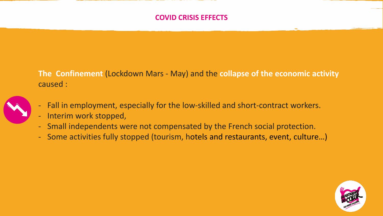### **COVID CRISIS EFFECTS**

**The Confinement** (Lockdown Mars - May) and the **collapse of the economic activity** caused :



- Fall in employment, especially for the low-skilled and short-contract workers.
- Interim work stopped,
- Small independents were not compensated by the French social protection.
- Some activities fully stopped (tourism, hotels and restaurants, event, culture…)

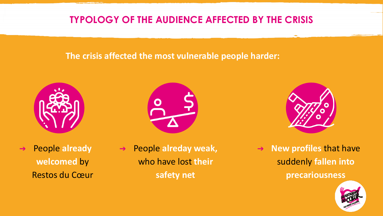## **TYPOLOGY OF THE AUDIENCE AFFECTED BY THE CRISIS**

### **The crisis affected the most vulnerable people harder:**







- ➔ People **already welcomed** by Restos du Cœur
- ➔ People **alreday weak,**  who have lost **their safety net**

➔ **New profiles** that have suddenly **fallen into precariousness**

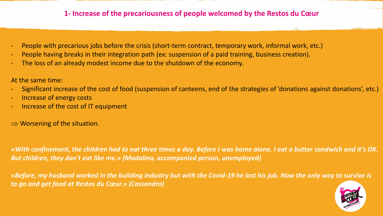### **1- Increase of the precariousness of people welcomed by the Restos du Cœur**

- People with precarious jobs before the crisis (short-term contract, temporary work, informal work, etc.)
- People having breaks in their integration path (ex: suspension of a paid training, business creation).
- The loss of an already modest income due to the shutdown of the economy.

At the same time:

- Significant increase of the cost of food (suspension of canteens, end of the strategies of 'donations against donations', etc.)
- Increase of energy costs
- Increase of the cost of IT equipment
- $\Rightarrow$  Worsening of the situation.

*«With confinement, the children had to eat three times a day. Before I was home alone. I eat a butter sandwich and it's OK. But children, they don't eat like me.» (Madalina, accompanied person, unemployed)* 

*«Before, my husband worked in the building industry but with the Covid-19 he lost his job. Now the only way to survive is to go and get food at Restos du Cœur.» (Cassandra)*

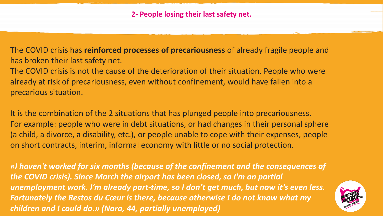The COVID crisis has **reinforced processes of precariousness** of already fragile people and has broken their last safety net.

The COVID crisis is not the cause of the deterioration of their situation. People who were already at risk of precariousness, even without confinement, would have fallen into a precarious situation.

It is the combination of the 2 situations that has plunged people into precariousness. For example: people who were in debt situations, or had changes in their personal sphere (a child, a divorce, a disability, etc.), or people unable to cope with their expenses, people on short contracts, interim, informal economy with little or no social protection.

*«I haven't worked for six months (because of the confinement and the consequences of the COVID crisis). Since March the airport has been closed, so I'm on partial unemployment work. I'm already part-time, so I don't get much, but now it's even less. Fortunately the Restos du Cœur is there, because otherwise I do not know what my children and I could do.» (Nora, 44, partially unemployed)*

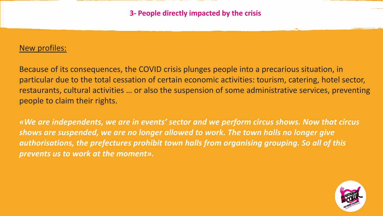### New profiles:

Because of its consequences, the COVID crisis plunges people into a precarious situation, in particular due to the total cessation of certain economic activities: tourism, catering, hotel sector, restaurants, cultural activities … or also the suspension of some administrative services, preventing people to claim their rights.

*«We are independents, we are in events' sector and we perform circus shows. Now that circus shows are suspended, we are no longer allowed to work. The town halls no longer give authorisations, the prefectures prohibit town halls from organising grouping. So all of this prevents us to work at the moment».*